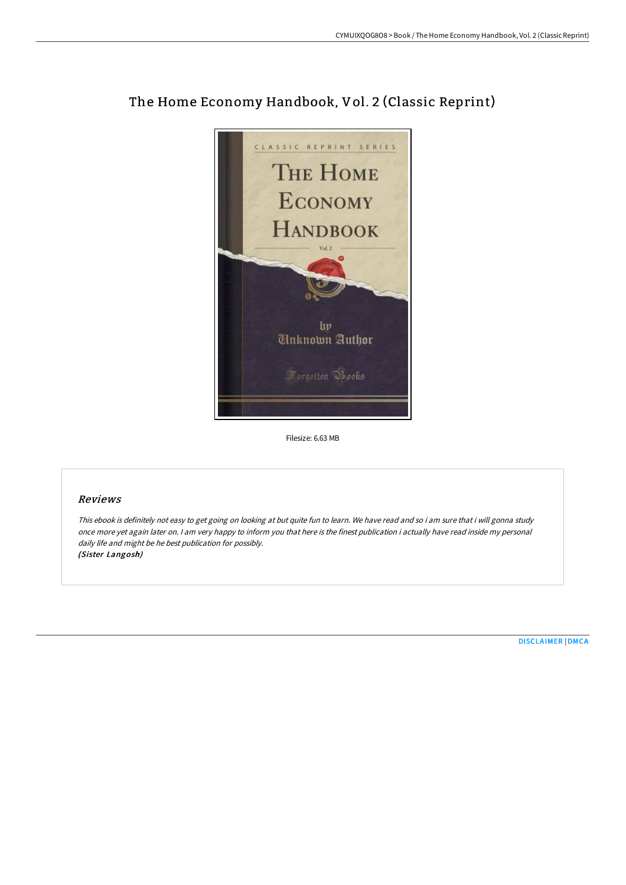

# The Home Economy Handbook, Vol. 2 (Classic Reprint)

Filesize: 6.63 MB

### Reviews

This ebook is definitely not easy to get going on looking at but quite fun to learn. We have read and so i am sure that i will gonna study once more yet again later on. <sup>I</sup> am very happy to inform you that here is the finest publication i actually have read inside my personal daily life and might be he best publication for possibly. (Sister Langosh)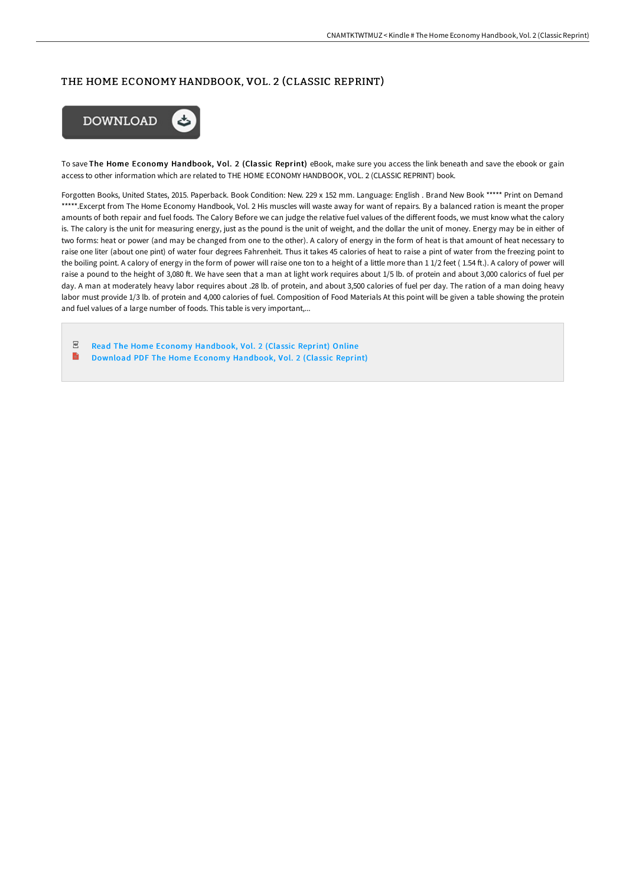## THE HOME ECONOMY HANDBOOK, VOL. 2 (CLASSIC REPRINT)



To save The Home Economy Handbook, Vol. 2 (Classic Reprint) eBook, make sure you access the link beneath and save the ebook or gain access to other information which are related to THE HOME ECONOMY HANDBOOK, VOL. 2 (CLASSIC REPRINT) book.

Forgotten Books, United States, 2015. Paperback. Book Condition: New. 229 x 152 mm. Language: English . Brand New Book \*\*\*\*\* Print on Demand \*\*\*\*\*.Excerpt from The Home Economy Handbook, Vol. 2 His muscles will waste away for want of repairs. By a balanced ration is meant the proper amounts of both repair and fuel foods. The Calory Before we can judge the relative fuel values of the different foods, we must know what the calory is. The calory is the unit for measuring energy, just as the pound is the unit of weight, and the dollar the unit of money. Energy may be in either of two forms: heat or power (and may be changed from one to the other). A calory of energy in the form of heat is that amount of heat necessary to raise one liter (about one pint) of water four degrees Fahrenheit. Thus it takes 45 calories of heat to raise a pint of water from the freezing point to the boiling point. A calory of energy in the form of power will raise one ton to a height of a little more than 1 1/2 feet (1.54 ft.). A calory of power will raise a pound to the height of 3,080 ft. We have seen that a man at light work requires about 1/5 lb. of protein and about 3,000 calorics of fuel per day. A man at moderately heavy labor requires about .28 lb. of protein, and about 3,500 calories of fuel per day. The ration of a man doing heavy labor must provide 1/3 lb. of protein and 4,000 calories of fuel. Composition of Food Materials At this point will be given a table showing the protein and fuel values of a large number of foods. This table is very important,...

 $_{\rm PDF}$ Read The Home Economy [Handbook,](http://digilib.live/the-home-economy-handbook-vol-2-classic-reprint-.html) Vol. 2 (Classic Reprint) Online E Download PDF The Home Economy [Handbook,](http://digilib.live/the-home-economy-handbook-vol-2-classic-reprint-.html) Vol. 2 (Classic Reprint)